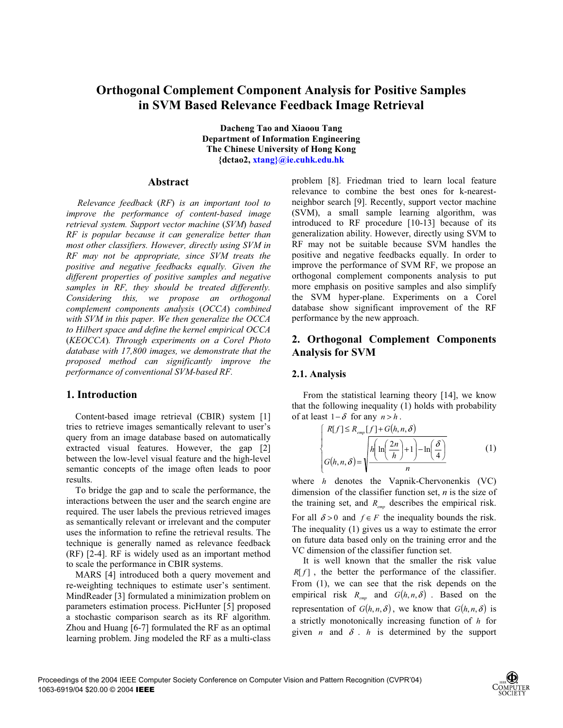# **Orthogonal Complement Component Analysis for Positive Samples in SVM Based Relevance Feedback Image Retrieval**

**Dacheng Tao and Xiaoou Tang Department of Information Engineering The Chinese University of Hong Kong {dctao2, xtang}@ie.cuhk.edu.hk**

## **Abstract**

*Relevance feedback* (*RF*) *is an important tool to improve the performance of content-based image retrieval system. Support vector machine* (*SVM*) *based RF is popular because it can generalize better than most other classifiers. However, directly using SVM in RF may not be appropriate, since SVM treats the positive and negative feedbacks equally. Given the different properties of positive samples and negative samples in RF, they should be treated differently. Considering this, we propose an orthogonal complement components analysis* (*OCCA*) *combined with SVM in this paper. We then generalize the OCCA to Hilbert space and define the kernel empirical OCCA*  (*KEOCCA*)*. Through experiments on a Corel Photo database with 17,800 images, we demonstrate that the proposed method can significantly improve the performance of conventional SVM-based RF.* 

## **1. Introduction**

Content-based image retrieval (CBIR) system [1] tries to retrieve images semantically relevant to user's query from an image database based on automatically extracted visual features. However, the gap [2] between the low-level visual feature and the high-level semantic concepts of the image often leads to poor results.

To bridge the gap and to scale the performance, the interactions between the user and the search engine are required. The user labels the previous retrieved images as semantically relevant or irrelevant and the computer uses the information to refine the retrieval results. The technique is generally named as relevance feedback (RF) [2-4]. RF is widely used as an important method to scale the performance in CBIR systems.

MARS [4] introduced both a query movement and re-weighting techniques to estimate user's sentiment. MindReader [3] formulated a minimization problem on parameters estimation process. PicHunter [5] proposed a stochastic comparison search as its RF algorithm. Zhou and Huang [6-7] formulated the RF as an optimal learning problem. Jing modeled the RF as a multi-class

problem [8]. Friedman tried to learn local feature relevance to combine the best ones for k-nearestneighbor search [9]. Recently, support vector machine (SVM), a small sample learning algorithm, was introduced to RF procedure [10-13] because of its generalization ability. However, directly using SVM to RF may not be suitable because SVM handles the positive and negative feedbacks equally. In order to improve the performance of SVM RF, we propose an orthogonal complement components analysis to put more emphasis on positive samples and also simplify the SVM hyper-plane. Experiments on a Corel database show significant improvement of the RF performance by the new approach.

# **2. Orthogonal Complement Components Analysis for SVM**

#### **2.1. Analysis**

From the statistical learning theory [14], we know that the following inequality (1) holds with probability of at least  $1-\delta$  for any  $n > h$ .

$$
\begin{cases}\nR[f] \le R_{emp}[f] + G(h, n, \delta) \\
G(h, n, \delta) = \sqrt{\frac{h\left(\ln\left(\frac{2n}{h}\right) + 1\right) - \ln\left(\frac{\delta}{4}\right)}{n}}\n\end{cases}
$$
\n(1)

where *h* denotes the Vapnik-Chervonenkis (VC) dimension of the classifier function set, *n* is the size of the training set, and *Remp* describes the empirical risk. For all  $\delta > 0$  and  $f \in F$  the inequality bounds the risk. The inequality (1) gives us a way to estimate the error on future data based only on the training error and the VC dimension of the classifier function set.

It is well known that the smaller the risk value  $R[f]$ , the better the performance of the classifier. From (1), we can see that the risk depends on the empirical risk  $R_{emp}$  and  $G(h, n, \delta)$ . Based on the representation of  $G(h, n, \delta)$ , we know that  $G(h, n, \delta)$  is a strictly monotonically increasing function of *h* for given *n* and  $\delta$ . *h* is determined by the support

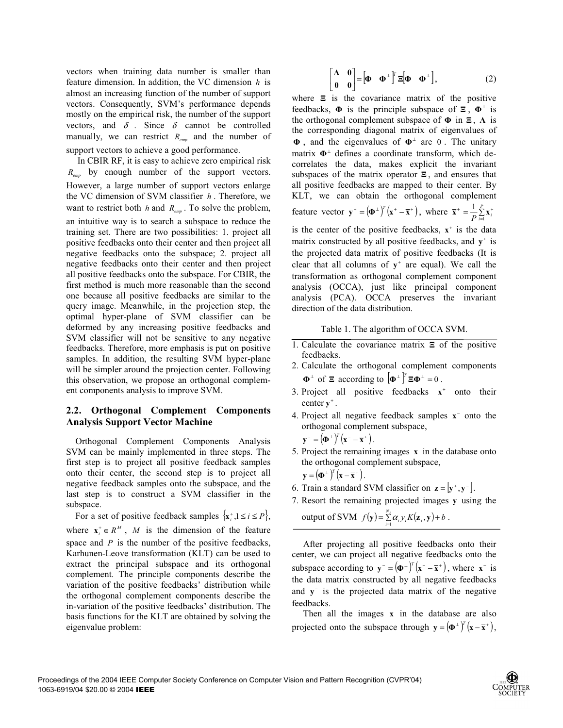vectors when training data number is smaller than feature dimension. In addition, the VC dimension *h* is almost an increasing function of the number of support vectors. Consequently, SVM's performance depends mostly on the empirical risk, the number of the support vectors, and  $\delta$ . Since  $\delta$  cannot be controlled manually, we can restrict *R<sub>emp</sub>* and the number of support vectors to achieve a good performance.

In CBIR RF, it is easy to achieve zero empirical risk *Remp* by enough number of the support vectors. However, a large number of support vectors enlarge the VC dimension of SVM classifier *h* . Therefore, we want to restrict both *h* and *Remp* . To solve the problem, an intuitive way is to search a subspace to reduce the training set. There are two possibilities: 1. project all positive feedbacks onto their center and then project all negative feedbacks onto the subspace; 2. project all negative feedbacks onto their center and then project all positive feedbacks onto the subspace. For CBIR, the first method is much more reasonable than the second one because all positive feedbacks are similar to the query image. Meanwhile, in the projection step, the optimal hyper-plane of SVM classifier can be deformed by any increasing positive feedbacks and SVM classifier will not be sensitive to any negative feedbacks. Therefore, more emphasis is put on positive samples. In addition, the resulting SVM hyper-plane will be simpler around the projection center. Following this observation, we propose an orthogonal complement components analysis to improve SVM.

## **2.2. Orthogonal Complement Components Analysis Support Vector Machine**

Orthogonal Complement Components Analysis SVM can be mainly implemented in three steps. The first step is to project all positive feedback samples onto their center, the second step is to project all negative feedback samples onto the subspace, and the last step is to construct a SVM classifier in the subspace.

For a set of positive feedback samples  ${x_i^{\dagger}, 1 \le i \le P}$ , where  $\mathbf{x}_i^+ \in \mathbb{R}^M$ , *M* is the dimension of the feature space and *P* is the number of the positive feedbacks, Karhunen-Leove transformation (KLT) can be used to extract the principal subspace and its orthogonal complement. The principle components describe the variation of the positive feedbacks' distribution while the orthogonal complement components describe the in-variation of the positive feedbacks' distribution. The basis functions for the KLT are obtained by solving the eigenvalue problem:

$$
\begin{bmatrix} \mathbf{\Lambda} & \mathbf{0} \\ \mathbf{0} & \mathbf{0} \end{bmatrix} = \begin{bmatrix} \mathbf{\Phi} & \mathbf{\Phi}^{\perp} \end{bmatrix}^T \Xi \begin{bmatrix} \mathbf{\Phi} & \mathbf{\Phi}^{\perp} \end{bmatrix}, \tag{2}
$$

where  $\Xi$  is the covariance matrix of the positive feedbacks,  $\Phi$  is the principle subspace of  $\Xi$ ,  $\Phi^{\perp}$  is the orthogonal complement subspace of  $\Phi$  in  $\Xi$ ,  $\Lambda$  is the corresponding diagonal matrix of eigenvalues of **Φ**, and the eigenvalues of  $\Phi$ <sup>⊥</sup> are 0. The unitary matrix  $\Phi$ <sup> $\perp$ </sup> defines a coordinate transform, which decorrelates the data, makes explicit the invariant subspaces of the matrix operator  $\Xi$ , and ensures that all positive feedbacks are mapped to their center. By KLT, we can obtain the orthogonal complement feature vector  $\mathbf{y}^+ = (\mathbf{\Phi}^\perp)^T (\mathbf{x}^+ - \mathbf{\overline{x}}^+)$ , where  $\mathbf{\overline{x}}^+ = \frac{1}{P} \sum_{i=1}^P$  $+$   $\frac{1}{r}$   $\frac{P}{r}$   $\frac{1}{r}$  $\overline{\mathbf{x}}^* = \frac{1}{P} \sum_{i=1}^P \mathbf{x}_i^*$ 

is the center of the positive feedbacks,  $x^+$  is the data matrix constructed by all positive feedbacks, and  $y^*$  is the projected data matrix of positive feedbacks (It is clear that all columns of  $y^+$  are equal). We call the transformation as orthogonal complement component analysis (OCCA), just like principal component analysis (PCA). OCCA preserves the invariant direction of the data distribution.

Table 1. The algorithm of OCCA SVM.

- 1. Calculate the covariance matrix  $\Xi$  of the positive feedbacks.
- 2. Calculate the orthogonal complement components  $\Phi^{\perp}$  of  $\Xi$  according to  $\left[\Phi^{\perp}\right]^{T}\Xi\Phi^{\perp}=0$ .
- 3. Project all positive feedbacks  $x^+$  onto their center  $y^+$ .
- 4. Project all negative feedback samples x<sup>−</sup> onto the orthogonal complement subspace,
	- $(\mathbf{y}^{\mathsf{T}} = (\mathbf{\Phi}^{\perp})^T (\mathbf{x}^{\mathsf{T}} \overline{\mathbf{x}}^*)$ .
- 5. Project the remaining images **x** in the database onto the orthogonal complement subspace,  $\mathbf{y} = (\mathbf{\Phi}^{\perp})^T (\mathbf{x} - \overline{\mathbf{x}}^+)$ .
- 6. Train a standard SVM classifier on  $z = [\mathbf{y}^*, \mathbf{y}^-]$ .
- 7. Resort the remaining projected images **y** using the

output of SVM  $f(\mathbf{y}) = \sum_{i=1}^{N_s} \alpha_i y_i K(\mathbf{z}_i, \mathbf{y}) + b$ .

After projecting all positive feedbacks onto their center, we can project all negative feedbacks onto the subspace according to  $y = (\mathbf{\Phi}^{\perp})^T (\mathbf{x}^- - \mathbf{\overline{x}}^+)$ , where  $\mathbf{x}^-$  is the data matrix constructed by all negative feedbacks and y<sup>-</sup> is the projected data matrix of the negative feedbacks.

Then all the images **x** in the database are also projected onto the subspace through  $y = (\Phi^{\perp})^T (x - \overline{x}^+)$ ,

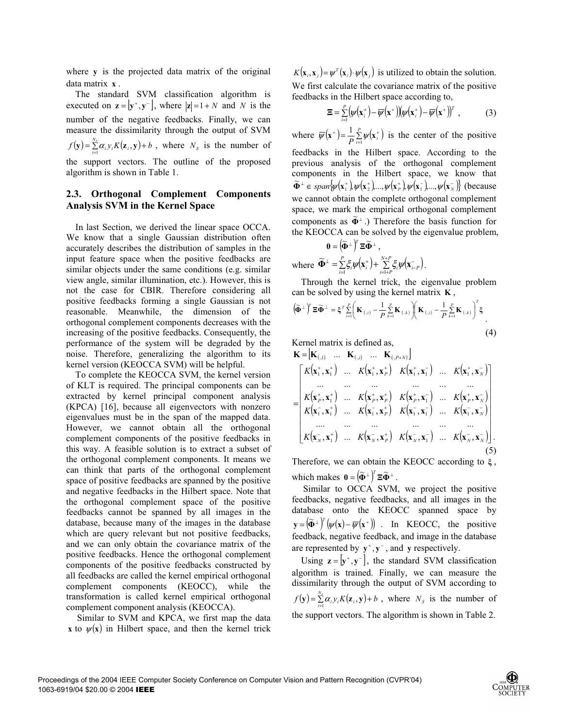where **y** is the projected data matrix of the original data matrix **x** .

The standard SVM classification algorithm is executed on  $z = |y^+, y^-|$ , where  $|z| = 1 + N$  and *N* is the number of the negative feedbacks. Finally, we can measure the dissimilarity through the output of SVM  $f(\mathbf{y}) = \sum_{i=1}^{N_x} \alpha_i y_i K(\mathbf{z}_i, \mathbf{y}) + b$ , where  $N_s$  is the number of the support vectors. The outline of the proposed algorithm is shown in Table 1.

# **2.3. Orthogonal Complement Components Analysis SVM in the Kernel Space**

In last Section, we derived the linear space OCCA. We know that a single Gaussian distribution often accurately describes the distribution of samples in the input feature space when the positive feedbacks are similar objects under the same conditions (e.g. similar view angle, similar illumination, etc.). However, this is not the case for CBIR. Therefore considering all positive feedbacks forming a single Gaussian is not reasonable. Meanwhile, the dimension of the orthogonal complement components decreases with the increasing of the positive feedbacks. Consequently, the performance of the system will be degraded by the noise. Therefore, generalizing the algorithm to its kernel version (KEOCCA SVM) will be helpful.

To complete the KEOCCA SVM, the kernel version of KLT is required. The principal components can be extracted by kernel principal component analysis (KPCA) [16], because all eigenvectors with nonzero eigenvalues must be in the span of the mapped data. However, we cannot obtain all the orthogonal complement components of the positive feedbacks in this way. A feasible solution is to extract a subset of the orthogonal complement components. It means we can think that parts of the orthogonal complement space of positive feedbacks are spanned by the positive and negative feedbacks in the Hilbert space. Note that the orthogonal complement space of the positive feedbacks cannot be spanned by all images in the database, because many of the images in the database which are query relevant but not positive feedbacks, and we can only obtain the covariance matrix of the positive feedbacks. Hence the orthogonal complement components of the positive feedbacks constructed by all feedbacks are called the kernel empirical orthogonal complement components (KEOCC), while the transformation is called kernel empirical orthogonal complement component analysis (KEOCCA).

Similar to SVM and KPCA, we first map the data **x** to  $\psi(x)$  in Hilbert space, and then the kernel trick

 $K(\mathbf{x}_i, \mathbf{x}_j) = \psi^T(\mathbf{x}_i) \cdot \psi(\mathbf{x}_j)$  is utilized to obtain the solution. We first calculate the covariance matrix of the positive feedbacks in the Hilbert space according to,

$$
\Xi = \sum_{i=1}^{P} \left( \psi(\mathbf{x}_i^+) - \overline{\psi}(\mathbf{x}^+) \right) \left( \psi(\mathbf{x}_i^+) - \overline{\psi}(\mathbf{x}^+) \right)^T , \tag{3}
$$

where  $\overline{\psi}(\mathbf{x}^{\dagger}) = \frac{1}{P} \sum_{i=1}^{P} \psi(\mathbf{x}_{i}^{\dagger})$  $P \stackrel{\scriptscriptstyle\mathsf{def}}{\scriptscriptstyle\mathsf{def}} P} \stackrel{\scriptscriptstyle\mathsf{def}}{\scriptscriptstyle\mathsf{def}} \mathsf{def}}$  $\overline{\psi}(\mathbf{x}^{\dagger}) = \frac{1}{n} \sum_{i=1}^{p} \psi(\mathbf{x}^{\dagger}_{i})$  is the center of the positive feedbacks in the Hilbert space. According to the previous analysis of the orthogonal complement components in the Hilbert space, we know that  ${\bf \widetilde{\Phi}}^{\perp} \in span\{\psi({\bf x}_{1}^{+}), \psi({\bf x}_{2}^{+}),...,\psi({\bf x}_{p}^{+}), \psi({\bf x}_{1}^{-}),...,\psi({\bf x}_{N}^{-})\}$  (because we cannot obtain the complete orthogonal complement space, we mark the empirical orthogonal complement components as  $\tilde{\Phi}^{\perp}$ .) Therefore the basis function for the KEOCCA can be solved by the eigenvalue problem,

$$
\mathbf{0} = \left(\widetilde{\mathbf{\Phi}}^{\perp}\right)^{T} \mathbf{\Xi} \widetilde{\mathbf{\Phi}}^{\perp} ,
$$

where 
$$
\widetilde{\Phi}^{\perp} = \sum_{i=1}^{P} \xi_i \psi(\mathbf{x}_i^+) + \sum_{i=1+P}^{N+P} \xi_i \psi(\mathbf{x}_{i-P}^-).
$$

Through the kernel trick, the eigenvalue problem can be solved by using the kernel matrix **K** ,

$$
\left(\widetilde{\Phi}^{\perp}\right)^{r} \Xi \widetilde{\Phi}^{\perp} = \xi^{r} \sum_{i=1}^{P} \left(\mathbf{K}_{(i)} - \frac{1}{P} \sum_{k=1}^{P} \mathbf{K}_{(i,k)}\right) \left(\mathbf{K}_{(i)} - \frac{1}{P} \sum_{k=1}^{P} \mathbf{K}_{(i,k)}\right)^{r} \xi
$$
\n(4)

Kernel matrix is defined as,

$$
\mathbf{K} = [\mathbf{K}_{(1)}, \dots, \mathbf{K}_{(n)}, \dots, \mathbf{K}_{(n+N)}]
$$
\n
$$
= \begin{bmatrix}\nK(\mathbf{x}_1^+, \mathbf{x}_1^+) & \dots & K(\mathbf{x}_1^+, \mathbf{x}_p^+) & K(\mathbf{x}_1^+, \mathbf{x}_1^-) & \dots & K(\mathbf{x}_1^+, \mathbf{x}_N^-) \\
\vdots & \vdots & \vdots & \vdots & \vdots & \vdots \\
K(\mathbf{x}_p^+, \mathbf{x}_1^+) & \dots & K(\mathbf{x}_p^+, \mathbf{x}_p^+) & K(\mathbf{x}_p^+, \mathbf{x}_1^-) & \dots & K(\mathbf{x}_p^+, \mathbf{x}_N^-) \\
K(\mathbf{x}_1^-, \mathbf{x}_1^+) & \dots & K(\mathbf{x}_1^-, \mathbf{x}_p^+) & K(\mathbf{x}_1^-, \mathbf{x}_1^-) & \dots & K(\mathbf{x}_1^-, \mathbf{x}_N^-) \\
\vdots & \vdots & \vdots & \vdots & \vdots & \vdots \\
K(\mathbf{x}_N^-, \mathbf{x}_1^+) & \dots & K(\mathbf{x}_N^-, \mathbf{x}_p^+) & K(\mathbf{x}_N^-, \mathbf{x}_1^-) & \dots & K(\mathbf{x}_N^-, \mathbf{x}_N^-)\n\end{bmatrix} (5)
$$

Therefore, we can obtain the KEOCC according to  $\xi$ , which makes  $\mathbf{0} = (\widetilde{\mathbf{\Phi}}^{\perp})^T \mathbf{\Xi} \widetilde{\mathbf{\Phi}}^{\perp}$ .

Similar to OCCA SVM, we project the positive feedbacks, negative feedbacks, and all images in the database onto the KEOCC spanned space by  $(\tilde{\mathbf{v}})^{\perp}$  ( $\psi(\mathbf{x}) - \overline{\psi}(\mathbf{x}^+)$ ) . In KEOCC, the positive feedback, negative feedback, and image in the database are represented by  $y^*$ ,  $y^-$ , and y respectively.

Using  $z = |y^+, y^-|$ , the standard SVM classification algorithm is trained. Finally, we can measure the dissimilarity through the output of SVM according to  $f(\mathbf{y}) = \sum_{i=1}^{N_x} \alpha_i y_i K(\mathbf{z}_i, \mathbf{y}) + b$ , where  $N_s$  is the number of the support vectors. The algorithm is shown in Table 2.

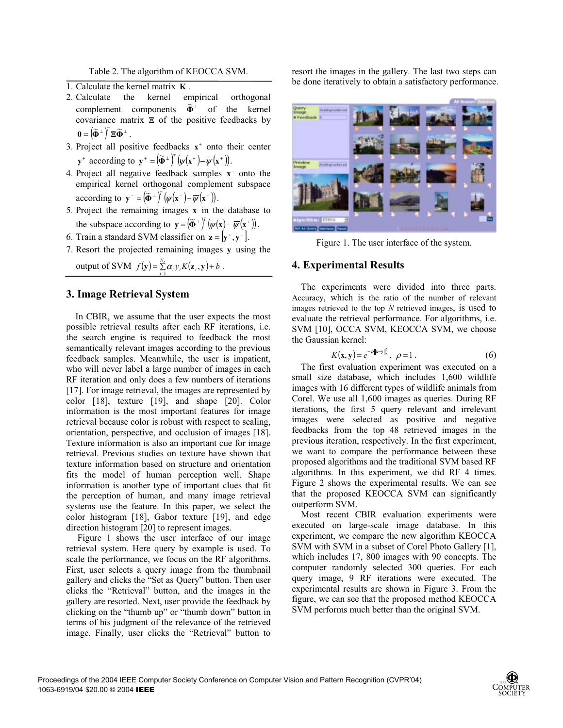Table 2. The algorithm of KEOCCA SVM.

- 1. Calculate the kernel matrix **K** .
- 2. Calculate the kernel empirical orthogonal complement components  $\widetilde{\Phi}^{\perp}$ of the kernel covariance matrix  $\Xi$  of the positive feedbacks by  $\mathbf{0} = \left( \widetilde{\mathbf{\Phi}}^{\perp} \right)^{T} \mathbf{\Xi} \widetilde{\mathbf{\Phi}}^{\perp}$ .
- 3. Project all positive feedbacks  $x^*$  onto their center  $\mathbf{y}^+$  according to  $\mathbf{y}^+ = \left( \widetilde{\mathbf{\Phi}}^{\perp} \right)^T \left( \psi(\mathbf{x}^+) - \overline{\psi}(\mathbf{x}^+) \right).$
- 4. Project all negative feedback samples x<sup>−</sup> onto the empirical kernel orthogonal complement subspace according to  $\mathbf{y} = (\widetilde{\mathbf{\Phi}}^{\perp})^T (\psi(\mathbf{x}^-) - \overline{\psi}(\mathbf{x}^+))$ .
- 5. Project the remaining images **x** in the database to the subspace according to  $\mathbf{y} = (\widetilde{\boldsymbol{\Phi}}^{\perp})^T (\psi(\mathbf{x}) - \overline{\psi}(\mathbf{x}^{\perp}))$ .
- 6. Train a standard SVM classifier on  $z = [y^+, y^-]$ .
- 7. Resort the projected remaining images **y** using the

output of SVM  $f(\mathbf{y}) = \sum_{i=1}^{N_s} \alpha_i y_i K(\mathbf{z}_i, \mathbf{y}) + b$ .

# **3. Image Retrieval System**

In CBIR, we assume that the user expects the most possible retrieval results after each RF iterations, i.e. the search engine is required to feedback the most semantically relevant images according to the previous feedback samples. Meanwhile, the user is impatient, who will never label a large number of images in each RF iteration and only does a few numbers of iterations [17]. For image retrieval, the images are represented by color [18], texture [19], and shape [20]. Color information is the most important features for image retrieval because color is robust with respect to scaling, orientation, perspective, and occlusion of images [18]. Texture information is also an important cue for image retrieval. Previous studies on texture have shown that texture information based on structure and orientation fits the model of human perception well. Shape information is another type of important clues that fit the perception of human, and many image retrieval systems use the feature. In this paper, we select the color histogram [18], Gabor texture [19], and edge direction histogram [20] to represent images.

Figure 1 shows the user interface of our image retrieval system. Here query by example is used. To scale the performance, we focus on the RF algorithms. First, user selects a query image from the thumbnail gallery and clicks the "Set as Query" button. Then user clicks the "Retrieval" button, and the images in the gallery are resorted. Next, user provide the feedback by clicking on the "thumb up" or "thumb down" button in terms of his judgment of the relevance of the retrieved image. Finally, user clicks the "Retrieval" button to

resort the images in the gallery. The last two steps can be done iteratively to obtain a satisfactory performance.



Figure 1. The user interface of the system.

#### **4. Experimental Results**

The experiments were divided into three parts. Accuracy, which is the ratio of the number of relevant images retrieved to the top *N* retrieved images, is used to evaluate the retrieval performance. For algorithms, i.e. SVM [10], OCCA SVM, KEOCCA SVM, we choose the Gaussian kernel:

$$
K(\mathbf{x}, \mathbf{y}) = e^{-\rho \|\mathbf{x} - \mathbf{y}\|_2^2}, \ \rho = 1.
$$
 (6)

The first evaluation experiment was executed on a small size database, which includes 1,600 wildlife images with 16 different types of wildlife animals from Corel. We use all 1,600 images as queries. During RF iterations, the first 5 query relevant and irrelevant images were selected as positive and negative feedbacks from the top 48 retrieved images in the previous iteration, respectively. In the first experiment, we want to compare the performance between these proposed algorithms and the traditional SVM based RF algorithms. In this experiment, we did RF 4 times. Figure 2 shows the experimental results. We can see that the proposed KEOCCA SVM can significantly outperform SVM.

Most recent CBIR evaluation experiments were executed on large-scale image database. In this experiment, we compare the new algorithm KEOCCA SVM with SVM in a subset of Corel Photo Gallery [1], which includes 17, 800 images with 90 concepts. The computer randomly selected 300 queries. For each query image, 9 RF iterations were executed. The experimental results are shown in Figure 3. From the figure, we can see that the proposed method KEOCCA SVM performs much better than the original SVM.

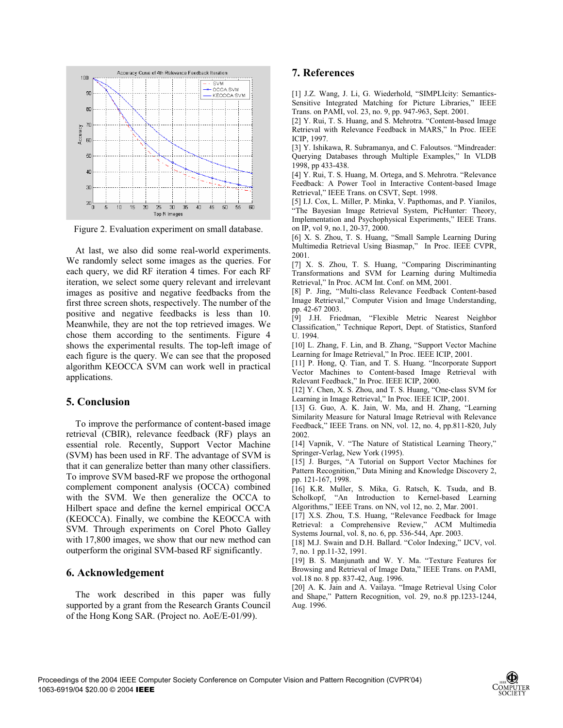

Figure 2. Evaluation experiment on small database.

At last, we also did some real-world experiments. We randomly select some images as the queries. For each query, we did RF iteration 4 times. For each RF iteration, we select some query relevant and irrelevant images as positive and negative feedbacks from the first three screen shots, respectively. The number of the positive and negative feedbacks is less than 10. Meanwhile, they are not the top retrieved images. We chose them according to the sentiments. Figure 4 shows the experimental results. The top-left image of each figure is the query. We can see that the proposed algorithm KEOCCA SVM can work well in practical applications.

#### **5. Conclusion**

To improve the performance of content-based image retrieval (CBIR), relevance feedback (RF) plays an essential role. Recently, Support Vector Machine (SVM) has been used in RF. The advantage of SVM is that it can generalize better than many other classifiers. To improve SVM based-RF we propose the orthogonal complement component analysis (OCCA) combined with the SVM. We then generalize the OCCA to Hilbert space and define the kernel empirical OCCA (KEOCCA). Finally, we combine the KEOCCA with SVM. Through experiments on Corel Photo Galley with 17,800 images, we show that our new method can outperform the original SVM-based RF significantly.

### **6. Acknowledgement**

The work described in this paper was fully supported by a grant from the Research Grants Council of the Hong Kong SAR. (Project no. AoE/E-01/99).

## **7. References**

[1] J.Z. Wang, J. Li, G. Wiederhold, "SIMPLIcity: Semantics-Sensitive Integrated Matching for Picture Libraries," IEEE Trans. on PAMI, vol. 23, no. 9, pp. 947-963, Sept. 2001.

[2] Y. Rui, T. S. Huang, and S. Mehrotra. "Content-based Image Retrieval with Relevance Feedback in MARS," In Proc. IEEE ICIP, 1997.

[3] Y. Ishikawa, R. Subramanya, and C. Faloutsos. "Mindreader: Querying Databases through Multiple Examples," In VLDB 1998, pp 433-438.

[4] Y. Rui, T. S. Huang, M. Ortega, and S. Mehrotra. "Relevance Feedback: A Power Tool in Interactive Content-based Image Retrieval," IEEE Trans. on CSVT, Sept. 1998.

[5] I.J. Cox, L. Miller, P. Minka, V. Papthomas, and P. Yianilos, "The Bayesian Image Retrieval System, PicHunter: Theory, Implementation and Psychophysical Experiments," IEEE Trans. on IP, vol 9, no.1, 20-37, 2000.

[6] X. S. Zhou, T. S. Huang, "Small Sample Learning During Multimedia Retrieval Using Biasmap," In Proc. IEEE CVPR, 2001.

[7] X. S. Zhou, T. S. Huang, "Comparing Discriminanting Transformations and SVM for Learning during Multimedia Retrieval," In Proc. ACM Int. Conf. on MM, 2001.

[8] P. Jing, "Multi-class Relevance Feedback Content-based Image Retrieval," Computer Vision and Image Understanding, pp. 42-67 2003.

[9] J.H. Friedman, "Flexible Metric Nearest Neighbor Classification," Technique Report, Dept. of Statistics, Stanford U. 1994.

[10] L. Zhang, F. Lin, and B. Zhang, "Support Vector Machine Learning for Image Retrieval," In Proc. IEEE ICIP, 2001.

[11] P. Hong, Q. Tian, and T. S. Huang. "Incorporate Support Vector Machines to Content-based Image Retrieval with Relevant Feedback," In Proc. IEEE ICIP, 2000.

[12] Y. Chen, X. S. Zhou, and T. S. Huang, "One-class SVM for Learning in Image Retrieval," In Proc. IEEE ICIP, 2001.

[13] G. Guo, A. K. Jain, W. Ma, and H. Zhang, "Learning Similarity Measure for Natural Image Retrieval with Relevance Feedback," IEEE Trans. on NN, vol. 12, no. 4, pp.811-820, July 2002.

[14] Vapnik, V. "The Nature of Statistical Learning Theory," Springer-Verlag, New York (1995).

[15] J. Burges, "A Tutorial on Support Vector Machines for Pattern Recognition," Data Mining and Knowledge Discovery 2, pp. 121-167, 1998.

[16] K.R. Muller, S. Mika, G. Ratsch, K. Tsuda, and B. Scholkopf, "An Introduction to Kernel-based Learning Algorithms," IEEE Trans. on NN, vol 12, no. 2, Mar. 2001.

[17] X.S. Zhou, T.S. Huang, "Relevance Feedback for Image Retrieval: a Comprehensive Review," ACM Multimedia Systems Journal, vol. 8, no. 6, pp. 536-544, Apr. 2003.

[18] M.J. Swain and D.H. Ballard. "Color Indexing," IJCV, vol. 7, no. 1 pp.11-32, 1991.

[19] B. S. Manjunath and W. Y. Ma. "Texture Features for Browsing and Retrieval of Image Data," IEEE Trans. on PAMI, vol.18 no. 8 pp. 837-42, Aug. 1996.

[20] A. K. Jain and A. Vailaya. "Image Retrieval Using Color and Shape," Pattern Recognition, vol. 29, no.8 pp.1233-1244, Aug. 1996.